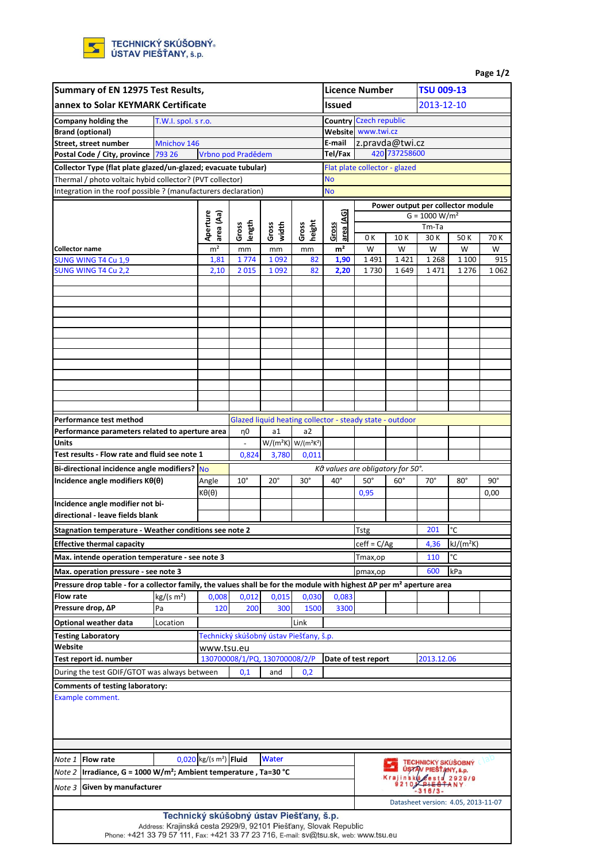| Summary of EN 12975 Test Results,                                                                                          |                                                                                                                                   |                                                                  |                                      |                    |                                         |                         | <b>Licence Number</b>                                    |                                                          | <b>TSU 009-13</b> |                           |                                     |      |  |  |
|----------------------------------------------------------------------------------------------------------------------------|-----------------------------------------------------------------------------------------------------------------------------------|------------------------------------------------------------------|--------------------------------------|--------------------|-----------------------------------------|-------------------------|----------------------------------------------------------|----------------------------------------------------------|-------------------|---------------------------|-------------------------------------|------|--|--|
| annex to Solar KEYMARK Certificate                                                                                         |                                                                                                                                   |                                                                  |                                      |                    |                                         | <b>Issued</b>           | 2013-12-10                                               |                                                          |                   |                           |                                     |      |  |  |
| Company holding the<br>T.W.I. spol. s r.o.                                                                                 |                                                                                                                                   |                                                                  |                                      |                    |                                         |                         | <b>Country Czech republic</b>                            |                                                          |                   |                           |                                     |      |  |  |
|                                                                                                                            | <b>Brand (optional)</b>                                                                                                           |                                                                  |                                      |                    |                                         |                         |                                                          | Website www.twi.cz                                       |                   |                           |                                     |      |  |  |
|                                                                                                                            | Street, street number                                                                                                             | Mnichov 146                                                      |                                      |                    |                                         |                         | E-mail                                                   |                                                          | z.pravda@twi.cz   |                           |                                     |      |  |  |
|                                                                                                                            | Postal Code / City, province 793 26                                                                                               |                                                                  |                                      | Vrbno pod Pradědem |                                         |                         | Tel/Fax                                                  |                                                          | 420 737258600     |                           |                                     |      |  |  |
|                                                                                                                            |                                                                                                                                   |                                                                  |                                      |                    |                                         |                         |                                                          | Flat plate collector - glazed                            |                   |                           |                                     |      |  |  |
| Collector Type (flat plate glazed/un-glazed; evacuate tubular)<br>Thermal / photo voltaic hybid collector? (PVT collector) |                                                                                                                                   |                                                                  |                                      |                    |                                         |                         | <b>No</b>                                                |                                                          |                   |                           |                                     |      |  |  |
| Integration in the roof possible ? (manufacturers declaration)                                                             |                                                                                                                                   |                                                                  |                                      |                    |                                         |                         | <b>No</b>                                                |                                                          |                   |                           |                                     |      |  |  |
|                                                                                                                            |                                                                                                                                   |                                                                  |                                      |                    |                                         |                         |                                                          |                                                          |                   |                           |                                     |      |  |  |
|                                                                                                                            |                                                                                                                                   |                                                                  |                                      |                    |                                         |                         |                                                          | Power output per collector module<br>$G = 1000 W/m2$     |                   |                           |                                     |      |  |  |
|                                                                                                                            |                                                                                                                                   |                                                                  | Aperture<br>area (Aa)                | Gross<br>length    | width                                   | Gross<br>height         | area (AG)<br>Gross                                       |                                                          |                   | Tm-Ta                     |                                     |      |  |  |
|                                                                                                                            |                                                                                                                                   |                                                                  |                                      |                    | Gross                                   |                         |                                                          | 0 K<br>10K                                               |                   | 30 K                      | 50K                                 | 70 K |  |  |
| <b>Collector name</b>                                                                                                      |                                                                                                                                   |                                                                  | m <sup>2</sup>                       | mm                 | mm                                      | mm                      | m <sup>2</sup>                                           | W                                                        | W                 | W                         | W                                   | W    |  |  |
|                                                                                                                            | SUNG WING T4 Cu 1,9                                                                                                               |                                                                  | 1,81                                 | 1774               | 1 0 9 2                                 | 82                      | 1,90                                                     | 1491                                                     | 1421              | 1 2 6 8                   | 1 1 0 0                             | 915  |  |  |
|                                                                                                                            | SUNG WING T4 Cu 2,2                                                                                                               |                                                                  | 2,10                                 | 2015               | 1 0 9 2                                 | 82                      | 2,20                                                     | 1730                                                     | 1649              | 1471                      | 1 2 7 6                             | 1062 |  |  |
|                                                                                                                            |                                                                                                                                   |                                                                  |                                      |                    |                                         |                         |                                                          |                                                          |                   |                           |                                     |      |  |  |
|                                                                                                                            |                                                                                                                                   |                                                                  |                                      |                    |                                         |                         |                                                          |                                                          |                   |                           |                                     |      |  |  |
|                                                                                                                            |                                                                                                                                   |                                                                  |                                      |                    |                                         |                         |                                                          |                                                          |                   |                           |                                     |      |  |  |
|                                                                                                                            |                                                                                                                                   |                                                                  |                                      |                    |                                         |                         |                                                          |                                                          |                   |                           |                                     |      |  |  |
|                                                                                                                            |                                                                                                                                   |                                                                  |                                      |                    |                                         |                         |                                                          |                                                          |                   |                           |                                     |      |  |  |
|                                                                                                                            |                                                                                                                                   |                                                                  |                                      |                    |                                         |                         |                                                          |                                                          |                   |                           |                                     |      |  |  |
|                                                                                                                            |                                                                                                                                   |                                                                  |                                      |                    |                                         |                         |                                                          |                                                          |                   |                           |                                     |      |  |  |
|                                                                                                                            |                                                                                                                                   |                                                                  |                                      |                    |                                         |                         |                                                          |                                                          |                   |                           |                                     |      |  |  |
|                                                                                                                            |                                                                                                                                   |                                                                  |                                      |                    |                                         |                         |                                                          |                                                          |                   |                           |                                     |      |  |  |
|                                                                                                                            |                                                                                                                                   |                                                                  |                                      |                    |                                         |                         |                                                          |                                                          |                   |                           |                                     |      |  |  |
|                                                                                                                            |                                                                                                                                   |                                                                  |                                      |                    |                                         |                         |                                                          |                                                          |                   |                           |                                     |      |  |  |
|                                                                                                                            | Performance test method                                                                                                           |                                                                  |                                      |                    |                                         |                         | Glazed liquid heating collector - steady state - outdoor |                                                          |                   |                           |                                     |      |  |  |
|                                                                                                                            | Performance parameters related to aperture area                                                                                   |                                                                  |                                      | η0                 | a1                                      | a2                      |                                                          |                                                          |                   |                           |                                     |      |  |  |
| Units                                                                                                                      |                                                                                                                                   |                                                                  |                                      | $\blacksquare$     |                                         | $W/(m^2K)$ $W/(m^2K^2)$ |                                                          |                                                          |                   |                           |                                     |      |  |  |
|                                                                                                                            | Test results - Flow rate and fluid see note 1                                                                                     |                                                                  |                                      | 0,824              | 3,780                                   | 0,011                   |                                                          |                                                          |                   |                           |                                     |      |  |  |
|                                                                                                                            |                                                                                                                                   |                                                                  |                                      |                    |                                         |                         | Kθ values are obligatory for 50°.                        |                                                          |                   |                           |                                     |      |  |  |
| Bi-directional incidence angle modifiers? No<br>Incidence angle modifiers $K\theta(\theta)$                                |                                                                                                                                   |                                                                  | Angle                                | $10^{\circ}$       | $20^{\circ}$                            | $30^\circ$              | $40^{\circ}$                                             | $50^\circ$                                               | $60^\circ$        | $70^{\circ}$              | $90^\circ$                          |      |  |  |
|                                                                                                                            |                                                                                                                                   |                                                                  | $K\theta(\theta)$                    |                    |                                         |                         |                                                          | 0,95                                                     |                   |                           | $80^{\circ}$                        | 0,00 |  |  |
|                                                                                                                            | Incidence angle modifier not bi-                                                                                                  |                                                                  |                                      |                    |                                         |                         |                                                          |                                                          |                   |                           |                                     |      |  |  |
|                                                                                                                            | directional - leave fields blank                                                                                                  |                                                                  |                                      |                    |                                         |                         |                                                          |                                                          |                   |                           |                                     |      |  |  |
|                                                                                                                            |                                                                                                                                   |                                                                  |                                      |                    |                                         |                         |                                                          |                                                          |                   | 201                       | °C                                  |      |  |  |
|                                                                                                                            | Stagnation temperature - Weather conditions see note 2                                                                            |                                                                  |                                      |                    |                                         |                         |                                                          | Tstg                                                     |                   |                           |                                     |      |  |  |
|                                                                                                                            | <b>Effective thermal capacity</b>                                                                                                 |                                                                  |                                      |                    |                                         |                         |                                                          | $\overline{\text{ceff}} = \overline{\text{C}}/\text{Ag}$ |                   |                           | 4,36 $kJ/(m^2K)$                    |      |  |  |
|                                                                                                                            | Max. intende operation temperature - see note 3                                                                                   |                                                                  |                                      |                    |                                         |                         |                                                          | Tmax,op                                                  |                   | 110                       | 'С                                  |      |  |  |
|                                                                                                                            | Max. operation pressure - see note 3                                                                                              |                                                                  |                                      |                    |                                         |                         |                                                          | pmax,op                                                  |                   | 600                       | kPa                                 |      |  |  |
|                                                                                                                            | Pressure drop table - for a collector family, the values shall be for the module with highest ∆P per m <sup>2</sup> aperture area |                                                                  |                                      |                    |                                         |                         |                                                          |                                                          |                   |                           |                                     |      |  |  |
| <b>Flow rate</b>                                                                                                           |                                                                                                                                   | kg/(s m <sup>2</sup> )                                           | 0,008                                | 0,012              | 0,015                                   | 0,030                   | 0,083                                                    |                                                          |                   |                           |                                     |      |  |  |
|                                                                                                                            | Pressure drop, AP                                                                                                                 | Pa                                                               | 120                                  | 200                | 300                                     | 1500                    | 3300                                                     |                                                          |                   |                           |                                     |      |  |  |
|                                                                                                                            | Optional weather data                                                                                                             | Location                                                         |                                      |                    |                                         | Link                    |                                                          |                                                          |                   |                           |                                     |      |  |  |
|                                                                                                                            | <b>Testing Laboratory</b>                                                                                                         |                                                                  |                                      |                    | Technický skúšobný ústav Piešťany, š.p. |                         |                                                          |                                                          |                   |                           |                                     |      |  |  |
| Website                                                                                                                    |                                                                                                                                   |                                                                  | www.tsu.eu                           |                    |                                         |                         |                                                          |                                                          |                   |                           |                                     |      |  |  |
|                                                                                                                            | Test report id. number                                                                                                            |                                                                  |                                      |                    | 130700008/1/PQ, 130700008/2/P           |                         | Date of test report<br>2013.12.06                        |                                                          |                   |                           |                                     |      |  |  |
|                                                                                                                            | During the test GDIF/GTOT was always between                                                                                      |                                                                  |                                      | 0,1                | and                                     | 0,2                     |                                                          |                                                          |                   |                           |                                     |      |  |  |
|                                                                                                                            |                                                                                                                                   |                                                                  |                                      |                    |                                         |                         |                                                          |                                                          |                   |                           |                                     |      |  |  |
|                                                                                                                            | Comments of testing laboratory:                                                                                                   |                                                                  |                                      |                    |                                         |                         |                                                          |                                                          |                   |                           |                                     |      |  |  |
|                                                                                                                            | <b>Example comment.</b>                                                                                                           |                                                                  |                                      |                    |                                         |                         |                                                          |                                                          |                   |                           |                                     |      |  |  |
|                                                                                                                            |                                                                                                                                   |                                                                  |                                      |                    |                                         |                         |                                                          |                                                          |                   |                           |                                     |      |  |  |
|                                                                                                                            |                                                                                                                                   |                                                                  |                                      |                    |                                         |                         |                                                          |                                                          |                   |                           |                                     |      |  |  |
| Note 1                                                                                                                     | <b>Flow rate</b>                                                                                                                  |                                                                  | $0,020$ kg/(s m <sup>2</sup> ) Fluid |                    | <b>Water</b>                            |                         |                                                          |                                                          |                   | <b>TECHNICKY SKUŠOBNÝ</b> |                                     |      |  |  |
| Note 2                                                                                                                     | Irradiance, G = 1000 W/m <sup>2</sup> ; Ambient temperature, Ta=30 °C                                                             |                                                                  |                                      |                    |                                         |                         |                                                          |                                                          |                   | USTAV PIESTANY, š. p.     |                                     |      |  |  |
| Note 3                                                                                                                     | Given by manufacturer                                                                                                             |                                                                  |                                      |                    |                                         |                         |                                                          |                                                          |                   |                           |                                     |      |  |  |
|                                                                                                                            |                                                                                                                                   |                                                                  |                                      |                    |                                         |                         |                                                          |                                                          |                   | $316/3$ -                 |                                     |      |  |  |
|                                                                                                                            |                                                                                                                                   |                                                                  |                                      |                    |                                         |                         |                                                          |                                                          |                   |                           | Datasheet version: 4.05, 2013-11-07 |      |  |  |
|                                                                                                                            |                                                                                                                                   | Technický skúšobný ústav Piešťany, š.p.                          |                                      |                    |                                         |                         |                                                          |                                                          |                   |                           |                                     |      |  |  |
|                                                                                                                            |                                                                                                                                   | Address: Krajinská cesta 2929/9, 92101 Piešťany, Slovak Republic |                                      |                    |                                         |                         |                                                          |                                                          |                   |                           |                                     |      |  |  |
|                                                                                                                            | Phone: +421 33 79 57 111, Fax: +421 33 77 23 716, E-mail: sv@tsu.sk, web: www.tsu.eu                                              |                                                                  |                                      |                    |                                         |                         |                                                          |                                                          |                   |                           |                                     |      |  |  |